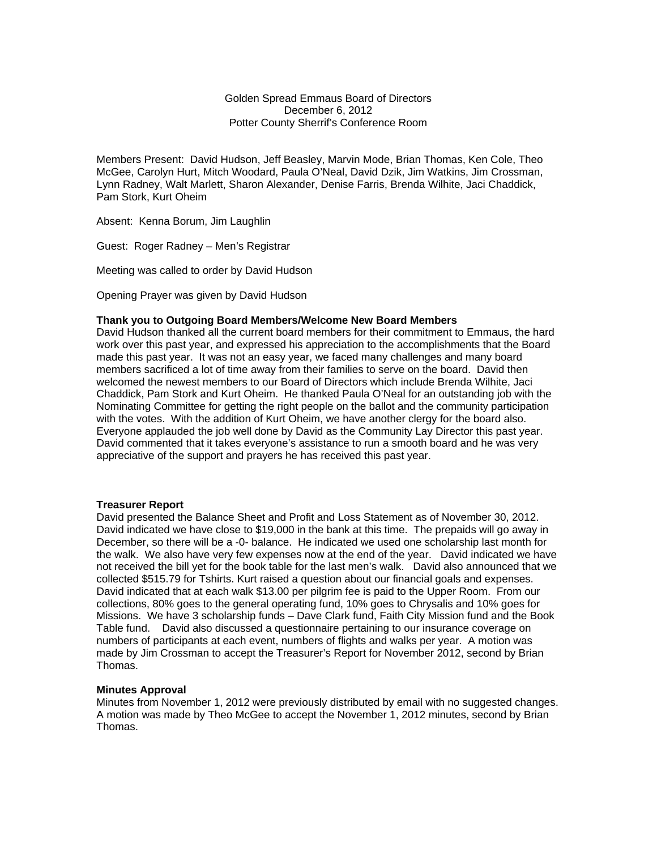Golden Spread Emmaus Board of Directors December 6, 2012 Potter County Sherrif's Conference Room

Members Present: David Hudson, Jeff Beasley, Marvin Mode, Brian Thomas, Ken Cole, Theo McGee, Carolyn Hurt, Mitch Woodard, Paula O'Neal, David Dzik, Jim Watkins, Jim Crossman, Lynn Radney, Walt Marlett, Sharon Alexander, Denise Farris, Brenda Wilhite, Jaci Chaddick, Pam Stork, Kurt Oheim

Absent: Kenna Borum, Jim Laughlin

Guest: Roger Radney – Men's Registrar

Meeting was called to order by David Hudson

Opening Prayer was given by David Hudson

### **Thank you to Outgoing Board Members/Welcome New Board Members**

David Hudson thanked all the current board members for their commitment to Emmaus, the hard work over this past year, and expressed his appreciation to the accomplishments that the Board made this past year. It was not an easy year, we faced many challenges and many board members sacrificed a lot of time away from their families to serve on the board. David then welcomed the newest members to our Board of Directors which include Brenda Wilhite, Jaci Chaddick, Pam Stork and Kurt Oheim. He thanked Paula O'Neal for an outstanding job with the Nominating Committee for getting the right people on the ballot and the community participation with the votes. With the addition of Kurt Oheim, we have another clergy for the board also. Everyone applauded the job well done by David as the Community Lay Director this past year. David commented that it takes everyone's assistance to run a smooth board and he was very appreciative of the support and prayers he has received this past year.

### **Treasurer Report**

David presented the Balance Sheet and Profit and Loss Statement as of November 30, 2012. David indicated we have close to \$19,000 in the bank at this time. The prepaids will go away in December, so there will be a -0- balance. He indicated we used one scholarship last month for the walk. We also have very few expenses now at the end of the year. David indicated we have not received the bill yet for the book table for the last men's walk. David also announced that we collected \$515.79 for Tshirts. Kurt raised a question about our financial goals and expenses. David indicated that at each walk \$13.00 per pilgrim fee is paid to the Upper Room. From our collections, 80% goes to the general operating fund, 10% goes to Chrysalis and 10% goes for Missions. We have 3 scholarship funds – Dave Clark fund, Faith City Mission fund and the Book Table fund. David also discussed a questionnaire pertaining to our insurance coverage on numbers of participants at each event, numbers of flights and walks per year. A motion was made by Jim Crossman to accept the Treasurer's Report for November 2012, second by Brian Thomas.

### **Minutes Approval**

Minutes from November 1, 2012 were previously distributed by email with no suggested changes. A motion was made by Theo McGee to accept the November 1, 2012 minutes, second by Brian Thomas.